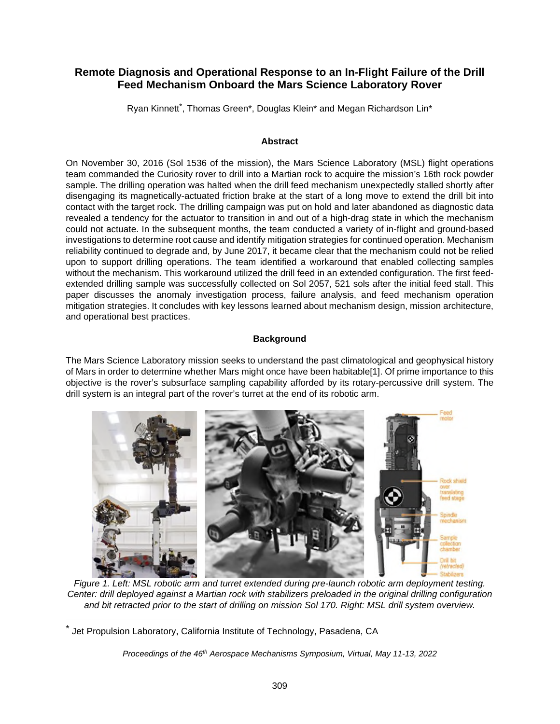# **Remote Diagnosis and Operational Response to an In-Flight Failure of the Drill Feed Mechanism Onboard the Mars Science Laboratory Rover**

Ryan Kinnett<sup>[\\*](#page-0-0)</sup>, Thomas Green\*, Douglas Klein\* and Megan Richardson Lin\*

### **Abstract**

On November 30, 2016 (Sol 1536 of the mission), the Mars Science Laboratory (MSL) flight operations team commanded the Curiosity rover to drill into a Martian rock to acquire the mission's 16th rock powder sample. The drilling operation was halted when the drill feed mechanism unexpectedly stalled shortly after disengaging its magnetically-actuated friction brake at the start of a long move to extend the drill bit into contact with the target rock. The drilling campaign was put on hold and later abandoned as diagnostic data revealed a tendency for the actuator to transition in and out of a high-drag state in which the mechanism could not actuate. In the subsequent months, the team conducted a variety of in-flight and ground-based investigations to determine root cause and identify mitigation strategies for continued operation. Mechanism reliability continued to degrade and, by June 2017, it became clear that the mechanism could not be relied upon to support drilling operations. The team identified a workaround that enabled collecting samples without the mechanism. This workaround utilized the drill feed in an extended configuration. The first feedextended drilling sample was successfully collected on Sol 2057, 521 sols after the initial feed stall. This paper discusses the anomaly investigation process, failure analysis, and feed mechanism operation mitigation strategies. It concludes with key lessons learned about mechanism design, mission architecture, and operational best practices.

### **Background**

The Mars Science Laboratory mission seeks to understand the past climatological and geophysical history of Mars in order to determine whether Mars might once have been habitable[1]. Of prime importance to this objective is the rover's subsurface sampling capability afforded by its rotary-percussive drill system. The drill system is an integral part of the rover's turret at the end of its robotic arm.



*Figure 1. Left: MSL robotic arm and turret extended during pre-launch robotic arm deployment testing. Center: drill deployed against a Martian rock with stabilizers preloaded in the original drilling configuration and bit retracted prior to the start of drilling on mission Sol 170. Right: MSL drill system overview.* 

<span id="page-0-0"></span><sup>\*</sup> Jet Propulsion Laboratory, California Institute of Technology, Pasadena, CA

*Proceedings of the 46th Aerospace Mechanisms Symposium, Virtual, May 11-13, 2022*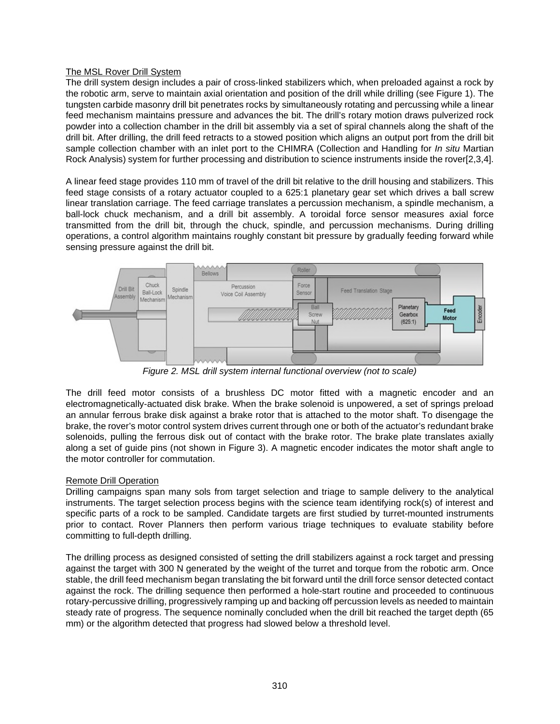### The MSL Rover Drill System

The drill system design includes a pair of cross-linked stabilizers which, when preloaded against a rock by the robotic arm, serve to maintain axial orientation and position of the drill while drilling (see Figure 1). The tungsten carbide masonry drill bit penetrates rocks by simultaneously rotating and percussing while a linear feed mechanism maintains pressure and advances the bit. The drill's rotary motion draws pulverized rock powder into a collection chamber in the drill bit assembly via a set of spiral channels along the shaft of the drill bit. After drilling, the drill feed retracts to a stowed position which aligns an output port from the drill bit sample collection chamber with an inlet port to the CHIMRA (Collection and Handling for *In situ* Martian Rock Analysis) system for further processing and distribution to science instruments inside the rover[2,3,4].

A linear feed stage provides 110 mm of travel of the drill bit relative to the drill housing and stabilizers. This feed stage consists of a rotary actuator coupled to a 625:1 planetary gear set which drives a ball screw linear translation carriage. The feed carriage translates a percussion mechanism, a spindle mechanism, a ball-lock chuck mechanism, and a drill bit assembly. A toroidal force sensor measures axial force transmitted from the drill bit, through the chuck, spindle, and percussion mechanisms. During drilling operations, a control algorithm maintains roughly constant bit pressure by gradually feeding forward while sensing pressure against the drill bit.



*Figure 2. MSL drill system internal functional overview (not to scale)* 

The drill feed motor consists of a brushless DC motor fitted with a magnetic encoder and an electromagnetically-actuated disk brake. When the brake solenoid is unpowered, a set of springs preload an annular ferrous brake disk against a brake rotor that is attached to the motor shaft. To disengage the brake, the rover's motor control system drives current through one or both of the actuator's redundant brake solenoids, pulling the ferrous disk out of contact with the brake rotor. The brake plate translates axially along a set of guide pins (not shown in Figure 3). A magnetic encoder indicates the motor shaft angle to the motor controller for commutation.

## Remote Drill Operation

Drilling campaigns span many sols from target selection and triage to sample delivery to the analytical instruments. The target selection process begins with the science team identifying rock(s) of interest and specific parts of a rock to be sampled. Candidate targets are first studied by turret-mounted instruments prior to contact. Rover Planners then perform various triage techniques to evaluate stability before committing to full-depth drilling.

The drilling process as designed consisted of setting the drill stabilizers against a rock target and pressing against the target with 300 N generated by the weight of the turret and torque from the robotic arm. Once stable, the drill feed mechanism began translating the bit forward until the drill force sensor detected contact against the rock. The drilling sequence then performed a hole-start routine and proceeded to continuous rotary-percussive drilling, progressively ramping up and backing off percussion levels as needed to maintain steady rate of progress. The sequence nominally concluded when the drill bit reached the target depth (65 mm) or the algorithm detected that progress had slowed below a threshold level.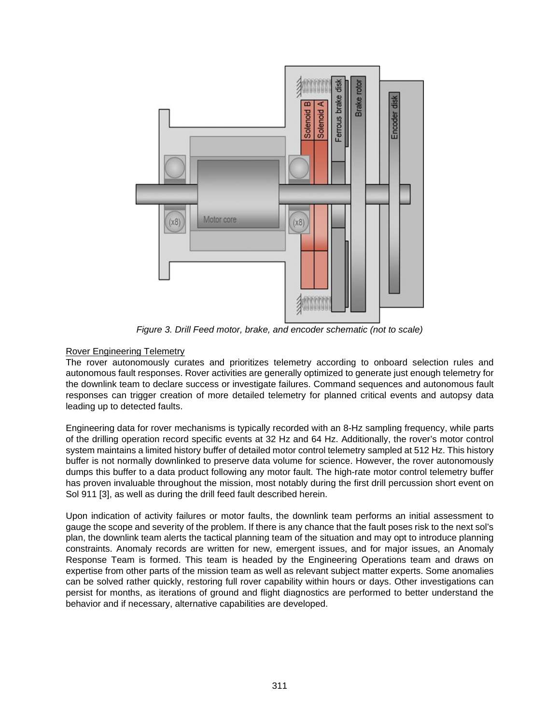

*Figure 3. Drill Feed motor, brake, and encoder schematic (not to scale)* 

## Rover Engineering Telemetry

The rover autonomously curates and prioritizes telemetry according to onboard selection rules and autonomous fault responses. Rover activities are generally optimized to generate just enough telemetry for the downlink team to declare success or investigate failures. Command sequences and autonomous fault responses can trigger creation of more detailed telemetry for planned critical events and autopsy data leading up to detected faults.

Engineering data for rover mechanisms is typically recorded with an 8-Hz sampling frequency, while parts of the drilling operation record specific events at 32 Hz and 64 Hz. Additionally, the rover's motor control system maintains a limited history buffer of detailed motor control telemetry sampled at 512 Hz. This history buffer is not normally downlinked to preserve data volume for science. However, the rover autonomously dumps this buffer to a data product following any motor fault. The high-rate motor control telemetry buffer has proven invaluable throughout the mission, most notably during the first drill percussion short event on Sol 911 [3], as well as during the drill feed fault described herein.

Upon indication of activity failures or motor faults, the downlink team performs an initial assessment to gauge the scope and severity of the problem. If there is any chance that the fault poses risk to the next sol's plan, the downlink team alerts the tactical planning team of the situation and may opt to introduce planning constraints. Anomaly records are written for new, emergent issues, and for major issues, an Anomaly Response Team is formed. This team is headed by the Engineering Operations team and draws on expertise from other parts of the mission team as well as relevant subject matter experts. Some anomalies can be solved rather quickly, restoring full rover capability within hours or days. Other investigations can persist for months, as iterations of ground and flight diagnostics are performed to better understand the behavior and if necessary, alternative capabilities are developed.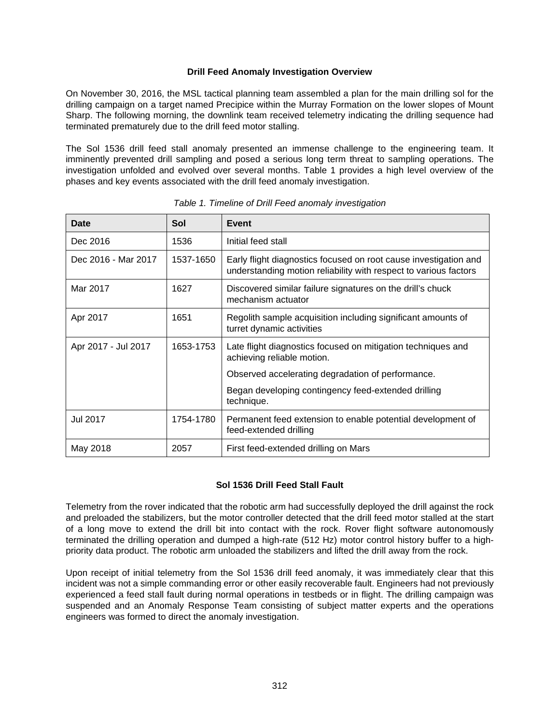### **Drill Feed Anomaly Investigation Overview**

On November 30, 2016, the MSL tactical planning team assembled a plan for the main drilling sol for the drilling campaign on a target named Precipice within the Murray Formation on the lower slopes of Mount Sharp. The following morning, the downlink team received telemetry indicating the drilling sequence had terminated prematurely due to the drill feed motor stalling.

The Sol 1536 drill feed stall anomaly presented an immense challenge to the engineering team. It imminently prevented drill sampling and posed a serious long term threat to sampling operations. The investigation unfolded and evolved over several months. Table 1 provides a high level overview of the phases and key events associated with the drill feed anomaly investigation.

| Date                | Sol       | Event                                                                                                                                |
|---------------------|-----------|--------------------------------------------------------------------------------------------------------------------------------------|
| Dec 2016            | 1536      | Initial feed stall                                                                                                                   |
| Dec 2016 - Mar 2017 | 1537-1650 | Early flight diagnostics focused on root cause investigation and<br>understanding motion reliability with respect to various factors |
| Mar 2017            | 1627      | Discovered similar failure signatures on the drill's chuck<br>mechanism actuator                                                     |
| Apr 2017            | 1651      | Regolith sample acquisition including significant amounts of<br>turret dynamic activities                                            |
| Apr 2017 - Jul 2017 | 1653-1753 | Late flight diagnostics focused on mitigation techniques and<br>achieving reliable motion.                                           |
|                     |           | Observed accelerating degradation of performance.                                                                                    |
|                     |           | Began developing contingency feed-extended drilling<br>technique.                                                                    |
| <b>Jul 2017</b>     | 1754-1780 | Permanent feed extension to enable potential development of<br>feed-extended drilling                                                |
| May 2018            | 2057      | First feed-extended drilling on Mars                                                                                                 |

*Table 1. Timeline of Drill Feed anomaly investigation* 

## **Sol 1536 Drill Feed Stall Fault**

Telemetry from the rover indicated that the robotic arm had successfully deployed the drill against the rock and preloaded the stabilizers, but the motor controller detected that the drill feed motor stalled at the start of a long move to extend the drill bit into contact with the rock. Rover flight software autonomously terminated the drilling operation and dumped a high-rate (512 Hz) motor control history buffer to a highpriority data product. The robotic arm unloaded the stabilizers and lifted the drill away from the rock.

Upon receipt of initial telemetry from the Sol 1536 drill feed anomaly, it was immediately clear that this incident was not a simple commanding error or other easily recoverable fault. Engineers had not previously experienced a feed stall fault during normal operations in testbeds or in flight. The drilling campaign was suspended and an Anomaly Response Team consisting of subject matter experts and the operations engineers was formed to direct the anomaly investigation.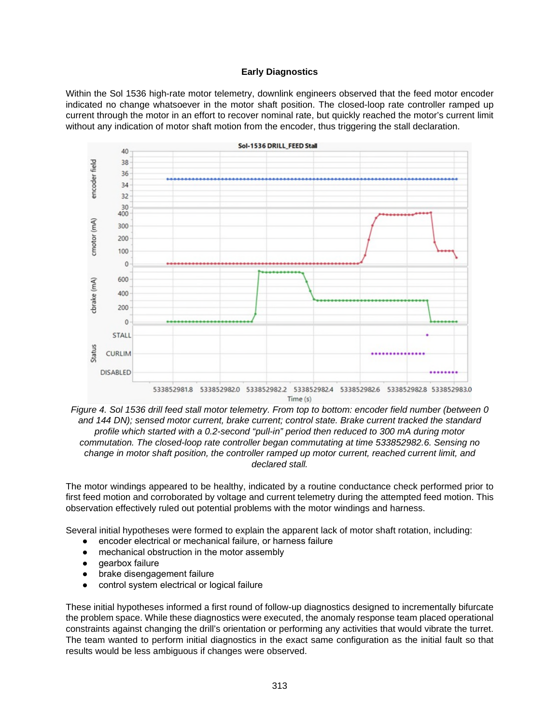#### **Early Diagnostics**

Within the Sol 1536 high-rate motor telemetry, downlink engineers observed that the feed motor encoder indicated no change whatsoever in the motor shaft position. The closed-loop rate controller ramped up current through the motor in an effort to recover nominal rate, but quickly reached the motor's current limit without any indication of motor shaft motion from the encoder, thus triggering the stall declaration.



*Figure 4. Sol 1536 drill feed stall motor telemetry. From top to bottom: encoder field number (between 0 and 144 DN); sensed motor current, brake current; control state. Brake current tracked the standard profile which started with a 0.2-second "pull-in" period then reduced to 300 mA during motor commutation. The closed-loop rate controller began commutating at time 533852982.6. Sensing no change in motor shaft position, the controller ramped up motor current, reached current limit, and declared stall.* 

The motor windings appeared to be healthy, indicated by a routine conductance check performed prior to first feed motion and corroborated by voltage and current telemetry during the attempted feed motion. This observation effectively ruled out potential problems with the motor windings and harness.

Several initial hypotheses were formed to explain the apparent lack of motor shaft rotation, including:

- encoder electrical or mechanical failure, or harness failure
- mechanical obstruction in the motor assembly
- gearbox failure
- brake disengagement failure
- control system electrical or logical failure

These initial hypotheses informed a first round of follow-up diagnostics designed to incrementally bifurcate the problem space. While these diagnostics were executed, the anomaly response team placed operational constraints against changing the drill's orientation or performing any activities that would vibrate the turret. The team wanted to perform initial diagnostics in the exact same configuration as the initial fault so that results would be less ambiguous if changes were observed.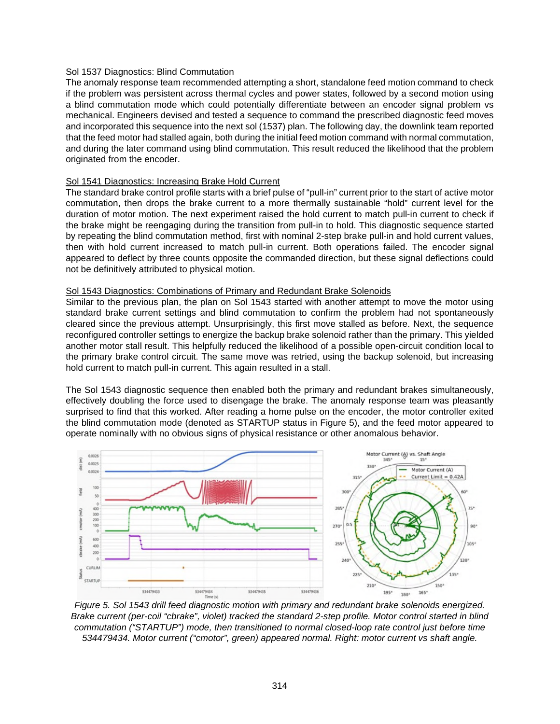### Sol 1537 Diagnostics: Blind Commutation

The anomaly response team recommended attempting a short, standalone feed motion command to check if the problem was persistent across thermal cycles and power states, followed by a second motion using a blind commutation mode which could potentially differentiate between an encoder signal problem vs mechanical. Engineers devised and tested a sequence to command the prescribed diagnostic feed moves and incorporated this sequence into the next sol (1537) plan. The following day, the downlink team reported that the feed motor had stalled again, both during the initial feed motion command with normal commutation, and during the later command using blind commutation. This result reduced the likelihood that the problem originated from the encoder.

#### Sol 1541 Diagnostics: Increasing Brake Hold Current

The standard brake control profile starts with a brief pulse of "pull-in" current prior to the start of active motor commutation, then drops the brake current to a more thermally sustainable "hold" current level for the duration of motor motion. The next experiment raised the hold current to match pull-in current to check if the brake might be reengaging during the transition from pull-in to hold. This diagnostic sequence started by repeating the blind commutation method, first with nominal 2-step brake pull-in and hold current values, then with hold current increased to match pull-in current. Both operations failed. The encoder signal appeared to deflect by three counts opposite the commanded direction, but these signal deflections could not be definitively attributed to physical motion.

#### Sol 1543 Diagnostics: Combinations of Primary and Redundant Brake Solenoids

Similar to the previous plan, the plan on Sol 1543 started with another attempt to move the motor using standard brake current settings and blind commutation to confirm the problem had not spontaneously cleared since the previous attempt. Unsurprisingly, this first move stalled as before. Next, the sequence reconfigured controller settings to energize the backup brake solenoid rather than the primary. This yielded another motor stall result. This helpfully reduced the likelihood of a possible open-circuit condition local to the primary brake control circuit. The same move was retried, using the backup solenoid, but increasing hold current to match pull-in current. This again resulted in a stall.

The Sol 1543 diagnostic sequence then enabled both the primary and redundant brakes simultaneously, effectively doubling the force used to disengage the brake. The anomaly response team was pleasantly surprised to find that this worked. After reading a home pulse on the encoder, the motor controller exited the blind commutation mode (denoted as STARTUP status in Figure 5), and the feed motor appeared to operate nominally with no obvious signs of physical resistance or other anomalous behavior.



*Figure 5. Sol 1543 drill feed diagnostic motion with primary and redundant brake solenoids energized. Brake current (per-coil "cbrake", violet) tracked the standard 2-step profile. Motor control started in blind commutation ("STARTUP") mode, then transitioned to normal closed-loop rate control just before time 534479434. Motor current ("cmotor", green) appeared normal. Right: motor current vs shaft angle.*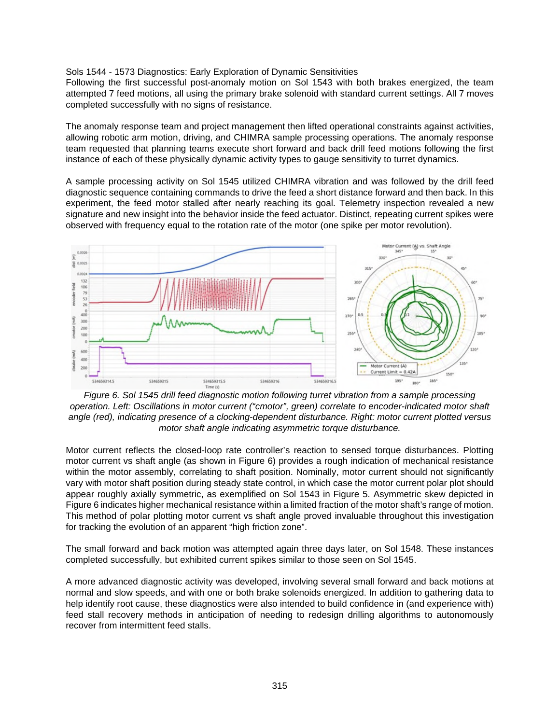#### Sols 1544 - 1573 Diagnostics: Early Exploration of Dynamic Sensitivities

Following the first successful post-anomaly motion on Sol 1543 with both brakes energized, the team attempted 7 feed motions, all using the primary brake solenoid with standard current settings. All 7 moves completed successfully with no signs of resistance.

The anomaly response team and project management then lifted operational constraints against activities, allowing robotic arm motion, driving, and CHIMRA sample processing operations. The anomaly response team requested that planning teams execute short forward and back drill feed motions following the first instance of each of these physically dynamic activity types to gauge sensitivity to turret dynamics.

A sample processing activity on Sol 1545 utilized CHIMRA vibration and was followed by the drill feed diagnostic sequence containing commands to drive the feed a short distance forward and then back. In this experiment, the feed motor stalled after nearly reaching its goal. Telemetry inspection revealed a new signature and new insight into the behavior inside the feed actuator. Distinct, repeating current spikes were observed with frequency equal to the rotation rate of the motor (one spike per motor revolution).



*Figure 6. Sol 1545 drill feed diagnostic motion following turret vibration from a sample processing operation. Left: Oscillations in motor current ("cmotor", green) correlate to encoder-indicated motor shaft angle (red), indicating presence of a clocking-dependent disturbance. Right: motor current plotted versus motor shaft angle indicating asymmetric torque disturbance.* 

Motor current reflects the closed-loop rate controller's reaction to sensed torque disturbances. Plotting motor current vs shaft angle (as shown in Figure 6) provides a rough indication of mechanical resistance within the motor assembly, correlating to shaft position. Nominally, motor current should not significantly vary with motor shaft position during steady state control, in which case the motor current polar plot should appear roughly axially symmetric, as exemplified on Sol 1543 in Figure 5. Asymmetric skew depicted in Figure 6 indicates higher mechanical resistance within a limited fraction of the motor shaft's range of motion. This method of polar plotting motor current vs shaft angle proved invaluable throughout this investigation for tracking the evolution of an apparent "high friction zone".

The small forward and back motion was attempted again three days later, on Sol 1548. These instances completed successfully, but exhibited current spikes similar to those seen on Sol 1545.

A more advanced diagnostic activity was developed, involving several small forward and back motions at normal and slow speeds, and with one or both brake solenoids energized. In addition to gathering data to help identify root cause, these diagnostics were also intended to build confidence in (and experience with) feed stall recovery methods in anticipation of needing to redesign drilling algorithms to autonomously recover from intermittent feed stalls.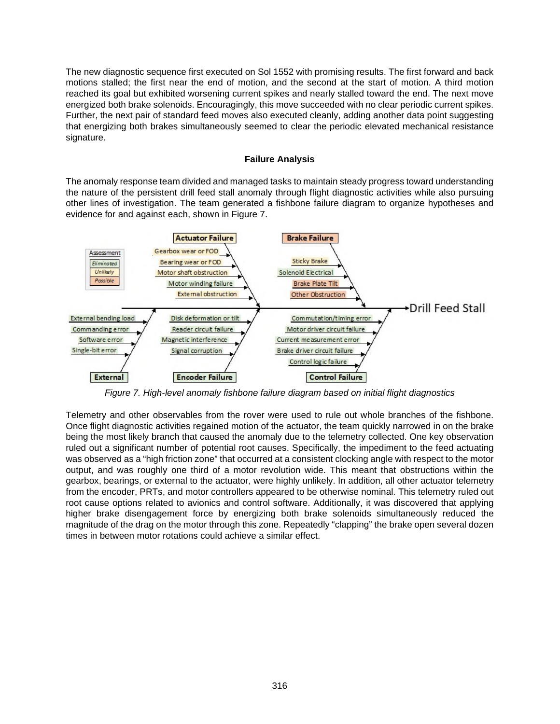The new diagnostic sequence first executed on Sol 1552 with promising results. The first forward and back motions stalled; the first near the end of motion, and the second at the start of motion. A third motion reached its goal but exhibited worsening current spikes and nearly stalled toward the end. The next move energized both brake solenoids. Encouragingly, this move succeeded with no clear periodic current spikes. Further, the next pair of standard feed moves also executed cleanly, adding another data point suggesting that energizing both brakes simultaneously seemed to clear the periodic elevated mechanical resistance signature.

#### **Failure Analysis**

The anomaly response team divided and managed tasks to maintain steady progress toward understanding the nature of the persistent drill feed stall anomaly through flight diagnostic activities while also pursuing other lines of investigation. The team generated a fishbone failure diagram to organize hypotheses and evidence for and against each, shown in Figure 7.



*Figure 7. High-level anomaly fishbone failure diagram based on initial flight diagnostics*

Telemetry and other observables from the rover were used to rule out whole branches of the fishbone. Once flight diagnostic activities regained motion of the actuator, the team quickly narrowed in on the brake being the most likely branch that caused the anomaly due to the telemetry collected. One key observation ruled out a significant number of potential root causes. Specifically, the impediment to the feed actuating was observed as a "high friction zone" that occurred at a consistent clocking angle with respect to the motor output, and was roughly one third of a motor revolution wide. This meant that obstructions within the gearbox, bearings, or external to the actuator, were highly unlikely. In addition, all other actuator telemetry from the encoder, PRTs, and motor controllers appeared to be otherwise nominal. This telemetry ruled out root cause options related to avionics and control software. Additionally, it was discovered that applying higher brake disengagement force by energizing both brake solenoids simultaneously reduced the magnitude of the drag on the motor through this zone. Repeatedly "clapping" the brake open several dozen times in between motor rotations could achieve a similar effect.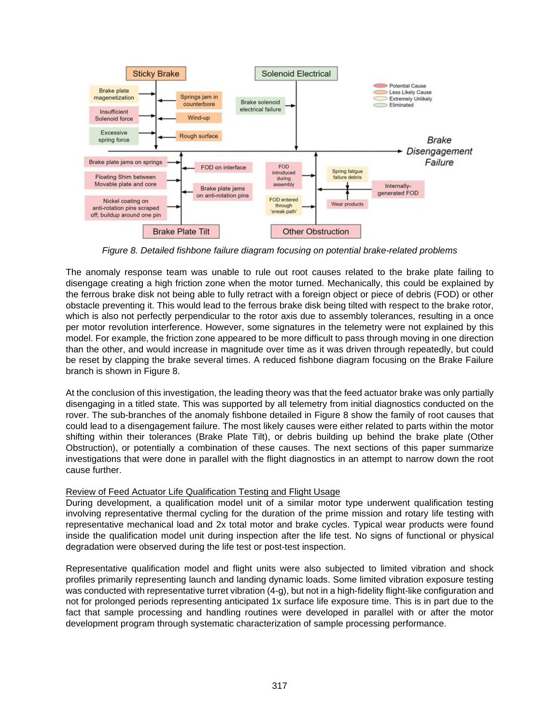

*Figure 8. Detailed fishbone failure diagram focusing on potential brake-related problems*

The anomaly response team was unable to rule out root causes related to the brake plate failing to disengage creating a high friction zone when the motor turned. Mechanically, this could be explained by the ferrous brake disk not being able to fully retract with a foreign object or piece of debris (FOD) or other obstacle preventing it. This would lead to the ferrous brake disk being tilted with respect to the brake rotor, which is also not perfectly perpendicular to the rotor axis due to assembly tolerances, resulting in a once per motor revolution interference. However, some signatures in the telemetry were not explained by this model. For example, the friction zone appeared to be more difficult to pass through moving in one direction than the other, and would increase in magnitude over time as it was driven through repeatedly, but could be reset by clapping the brake several times. A reduced fishbone diagram focusing on the Brake Failure branch is shown in Figure 8.

At the conclusion of this investigation, the leading theory was that the feed actuator brake was only partially disengaging in a titled state. This was supported by all telemetry from initial diagnostics conducted on the rover. The sub-branches of the anomaly fishbone detailed in Figure 8 show the family of root causes that could lead to a disengagement failure. The most likely causes were either related to parts within the motor shifting within their tolerances (Brake Plate Tilt), or debris building up behind the brake plate (Other Obstruction), or potentially a combination of these causes. The next sections of this paper summarize investigations that were done in parallel with the flight diagnostics in an attempt to narrow down the root cause further.

## Review of Feed Actuator Life Qualification Testing and Flight Usage

During development, a qualification model unit of a similar motor type underwent qualification testing involving representative thermal cycling for the duration of the prime mission and rotary life testing with representative mechanical load and 2x total motor and brake cycles. Typical wear products were found inside the qualification model unit during inspection after the life test. No signs of functional or physical degradation were observed during the life test or post-test inspection.

Representative qualification model and flight units were also subjected to limited vibration and shock profiles primarily representing launch and landing dynamic loads. Some limited vibration exposure testing was conducted with representative turret vibration (4-g), but not in a high-fidelity flight-like configuration and not for prolonged periods representing anticipated 1x surface life exposure time. This is in part due to the fact that sample processing and handling routines were developed in parallel with or after the motor development program through systematic characterization of sample processing performance.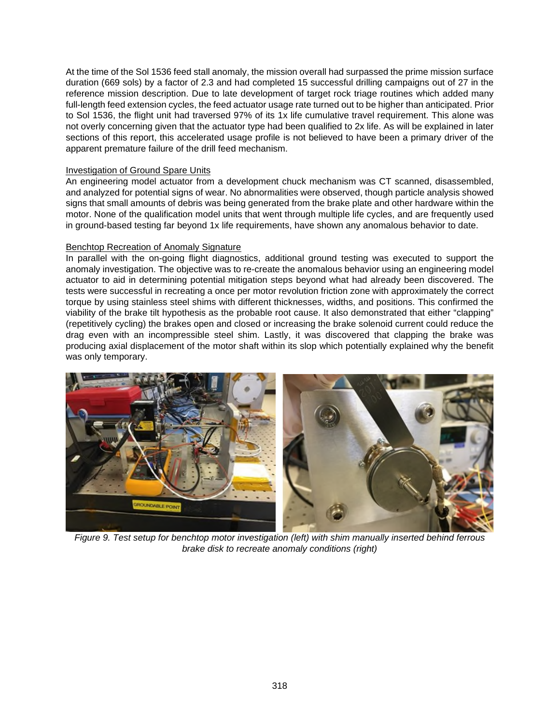At the time of the Sol 1536 feed stall anomaly, the mission overall had surpassed the prime mission surface duration (669 sols) by a factor of 2.3 and had completed 15 successful drilling campaigns out of 27 in the reference mission description. Due to late development of target rock triage routines which added many full-length feed extension cycles, the feed actuator usage rate turned out to be higher than anticipated. Prior to Sol 1536, the flight unit had traversed 97% of its 1x life cumulative travel requirement. This alone was not overly concerning given that the actuator type had been qualified to 2x life. As will be explained in later sections of this report, this accelerated usage profile is not believed to have been a primary driver of the apparent premature failure of the drill feed mechanism.

### **Investigation of Ground Spare Units**

An engineering model actuator from a development chuck mechanism was CT scanned, disassembled, and analyzed for potential signs of wear. No abnormalities were observed, though particle analysis showed signs that small amounts of debris was being generated from the brake plate and other hardware within the motor. None of the qualification model units that went through multiple life cycles, and are frequently used in ground-based testing far beyond 1x life requirements, have shown any anomalous behavior to date.

## Benchtop Recreation of Anomaly Signature

In parallel with the on-going flight diagnostics, additional ground testing was executed to support the anomaly investigation. The objective was to re-create the anomalous behavior using an engineering model actuator to aid in determining potential mitigation steps beyond what had already been discovered. The tests were successful in recreating a once per motor revolution friction zone with approximately the correct torque by using stainless steel shims with different thicknesses, widths, and positions. This confirmed the viability of the brake tilt hypothesis as the probable root cause. It also demonstrated that either "clapping" (repetitively cycling) the brakes open and closed or increasing the brake solenoid current could reduce the drag even with an incompressible steel shim. Lastly, it was discovered that clapping the brake was producing axial displacement of the motor shaft within its slop which potentially explained why the benefit was only temporary.



*Figure 9. Test setup for benchtop motor investigation (left) with shim manually inserted behind ferrous brake disk to recreate anomaly conditions (right)*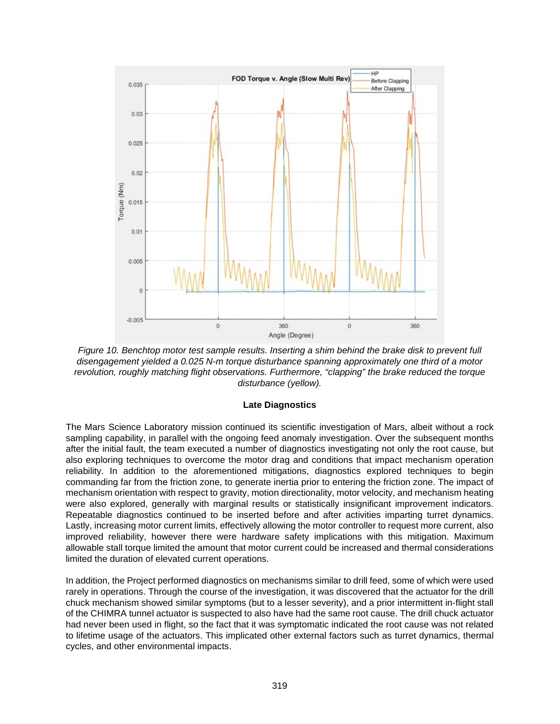

*Figure 10. Benchtop motor test sample results. Inserting a shim behind the brake disk to prevent full disengagement yielded a 0.025 N-m torque disturbance spanning approximately one third of a motor revolution, roughly matching flight observations. Furthermore, "clapping" the brake reduced the torque disturbance (yellow).*

#### **Late Diagnostics**

The Mars Science Laboratory mission continued its scientific investigation of Mars, albeit without a rock sampling capability, in parallel with the ongoing feed anomaly investigation. Over the subsequent months after the initial fault, the team executed a number of diagnostics investigating not only the root cause, but also exploring techniques to overcome the motor drag and conditions that impact mechanism operation reliability. In addition to the aforementioned mitigations, diagnostics explored techniques to begin commanding far from the friction zone, to generate inertia prior to entering the friction zone. The impact of mechanism orientation with respect to gravity, motion directionality, motor velocity, and mechanism heating were also explored, generally with marginal results or statistically insignificant improvement indicators. Repeatable diagnostics continued to be inserted before and after activities imparting turret dynamics. Lastly, increasing motor current limits, effectively allowing the motor controller to request more current, also improved reliability, however there were hardware safety implications with this mitigation. Maximum allowable stall torque limited the amount that motor current could be increased and thermal considerations limited the duration of elevated current operations.

In addition, the Project performed diagnostics on mechanisms similar to drill feed, some of which were used rarely in operations. Through the course of the investigation, it was discovered that the actuator for the drill chuck mechanism showed similar symptoms (but to a lesser severity), and a prior intermittent in-flight stall of the CHIMRA tunnel actuator is suspected to also have had the same root cause. The drill chuck actuator had never been used in flight, so the fact that it was symptomatic indicated the root cause was not related to lifetime usage of the actuators. This implicated other external factors such as turret dynamics, thermal cycles, and other environmental impacts.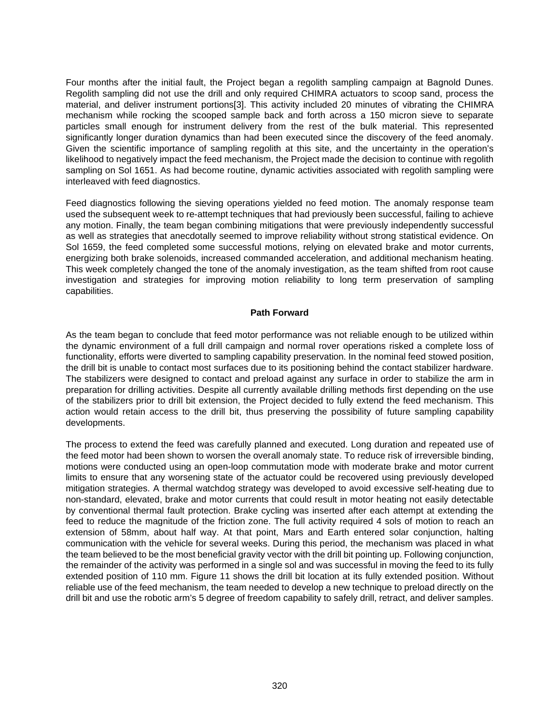Four months after the initial fault, the Project began a regolith sampling campaign at Bagnold Dunes. Regolith sampling did not use the drill and only required CHIMRA actuators to scoop sand, process the material, and deliver instrument portions[3]. This activity included 20 minutes of vibrating the CHIMRA mechanism while rocking the scooped sample back and forth across a 150 micron sieve to separate particles small enough for instrument delivery from the rest of the bulk material. This represented significantly longer duration dynamics than had been executed since the discovery of the feed anomaly. Given the scientific importance of sampling regolith at this site, and the uncertainty in the operation's likelihood to negatively impact the feed mechanism, the Project made the decision to continue with regolith sampling on Sol 1651. As had become routine, dynamic activities associated with regolith sampling were interleaved with feed diagnostics.

Feed diagnostics following the sieving operations yielded no feed motion. The anomaly response team used the subsequent week to re-attempt techniques that had previously been successful, failing to achieve any motion. Finally, the team began combining mitigations that were previously independently successful as well as strategies that anecdotally seemed to improve reliability without strong statistical evidence. On Sol 1659, the feed completed some successful motions, relying on elevated brake and motor currents, energizing both brake solenoids, increased commanded acceleration, and additional mechanism heating. This week completely changed the tone of the anomaly investigation, as the team shifted from root cause investigation and strategies for improving motion reliability to long term preservation of sampling capabilities.

#### **Path Forward**

As the team began to conclude that feed motor performance was not reliable enough to be utilized within the dynamic environment of a full drill campaign and normal rover operations risked a complete loss of functionality, efforts were diverted to sampling capability preservation. In the nominal feed stowed position, the drill bit is unable to contact most surfaces due to its positioning behind the contact stabilizer hardware. The stabilizers were designed to contact and preload against any surface in order to stabilize the arm in preparation for drilling activities. Despite all currently available drilling methods first depending on the use of the stabilizers prior to drill bit extension, the Project decided to fully extend the feed mechanism. This action would retain access to the drill bit, thus preserving the possibility of future sampling capability developments.

The process to extend the feed was carefully planned and executed. Long duration and repeated use of the feed motor had been shown to worsen the overall anomaly state. To reduce risk of irreversible binding, motions were conducted using an open-loop commutation mode with moderate brake and motor current limits to ensure that any worsening state of the actuator could be recovered using previously developed mitigation strategies. A thermal watchdog strategy was developed to avoid excessive self-heating due to non-standard, elevated, brake and motor currents that could result in motor heating not easily detectable by conventional thermal fault protection. Brake cycling was inserted after each attempt at extending the feed to reduce the magnitude of the friction zone. The full activity required 4 sols of motion to reach an extension of 58mm, about half way. At that point, Mars and Earth entered solar conjunction, halting communication with the vehicle for several weeks. During this period, the mechanism was placed in what the team believed to be the most beneficial gravity vector with the drill bit pointing up. Following conjunction, the remainder of the activity was performed in a single sol and was successful in moving the feed to its fully extended position of 110 mm. Figure 11 shows the drill bit location at its fully extended position. Without reliable use of the feed mechanism, the team needed to develop a new technique to preload directly on the drill bit and use the robotic arm's 5 degree of freedom capability to safely drill, retract, and deliver samples.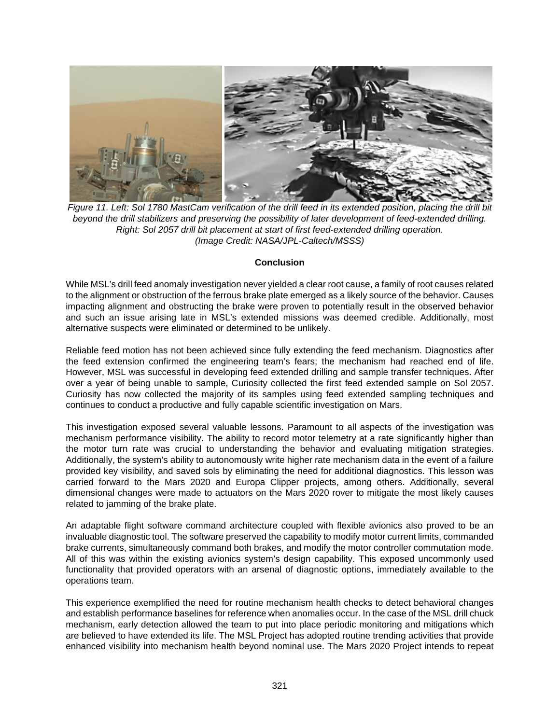

*Figure 11. Left: Sol 1780 MastCam verification of the drill feed in its extended position, placing the drill bit beyond the drill stabilizers and preserving the possibility of later development of feed-extended drilling. Right: Sol 2057 drill bit placement at start of first feed-extended drilling operation. (Image Credit: NASA/JPL-Caltech/MSSS)*

#### **Conclusion**

While MSL's drill feed anomaly investigation never yielded a clear root cause, a family of root causes related to the alignment or obstruction of the ferrous brake plate emerged as a likely source of the behavior. Causes impacting alignment and obstructing the brake were proven to potentially result in the observed behavior and such an issue arising late in MSL's extended missions was deemed credible. Additionally, most alternative suspects were eliminated or determined to be unlikely.

Reliable feed motion has not been achieved since fully extending the feed mechanism. Diagnostics after the feed extension confirmed the engineering team's fears; the mechanism had reached end of life. However, MSL was successful in developing feed extended drilling and sample transfer techniques. After over a year of being unable to sample, Curiosity collected the first feed extended sample on Sol 2057. Curiosity has now collected the majority of its samples using feed extended sampling techniques and continues to conduct a productive and fully capable scientific investigation on Mars.

This investigation exposed several valuable lessons. Paramount to all aspects of the investigation was mechanism performance visibility. The ability to record motor telemetry at a rate significantly higher than the motor turn rate was crucial to understanding the behavior and evaluating mitigation strategies. Additionally, the system's ability to autonomously write higher rate mechanism data in the event of a failure provided key visibility, and saved sols by eliminating the need for additional diagnostics. This lesson was carried forward to the Mars 2020 and Europa Clipper projects, among others. Additionally, several dimensional changes were made to actuators on the Mars 2020 rover to mitigate the most likely causes related to jamming of the brake plate.

An adaptable flight software command architecture coupled with flexible avionics also proved to be an invaluable diagnostic tool. The software preserved the capability to modify motor current limits, commanded brake currents, simultaneously command both brakes, and modify the motor controller commutation mode. All of this was within the existing avionics system's design capability. This exposed uncommonly used functionality that provided operators with an arsenal of diagnostic options, immediately available to the operations team.

This experience exemplified the need for routine mechanism health checks to detect behavioral changes and establish performance baselines for reference when anomalies occur. In the case of the MSL drill chuck mechanism, early detection allowed the team to put into place periodic monitoring and mitigations which are believed to have extended its life. The MSL Project has adopted routine trending activities that provide enhanced visibility into mechanism health beyond nominal use. The Mars 2020 Project intends to repeat